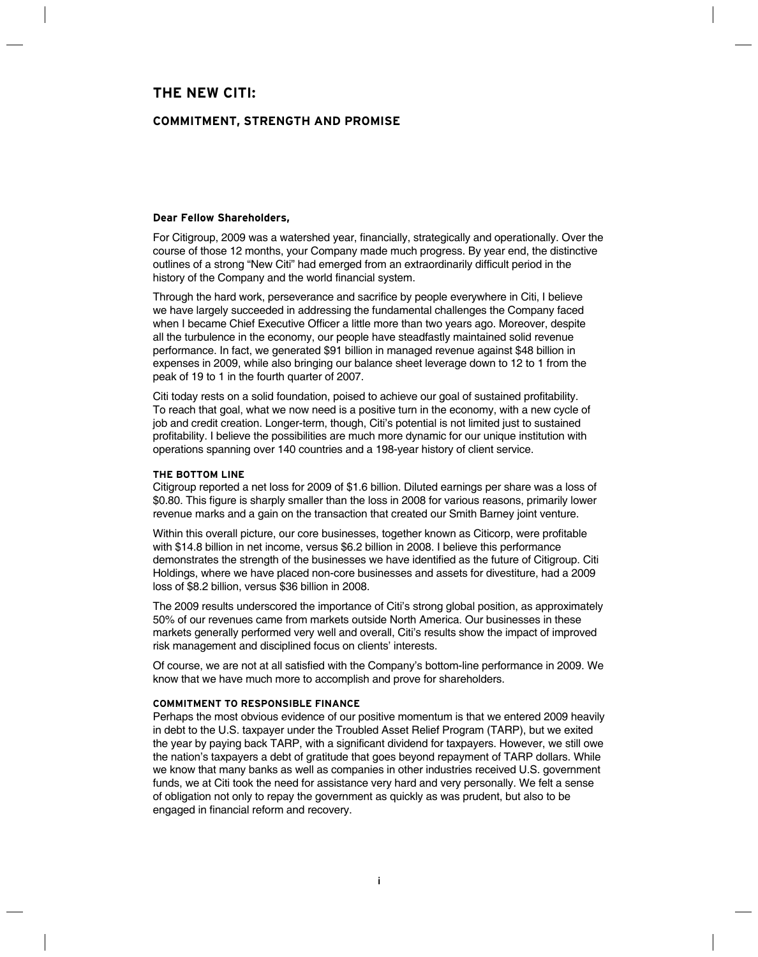# **The New Citi:**

# **Commitment, Strength and Promise**

# **Dear Fellow Shareholders,**

For Citigroup, 2009 was a watershed year, financially, strategically and operationally. Over the course of those 12 months, your Company made much progress. By year end, the distinctive outlines of a strong "New Citi" had emerged from an extraordinarily difficult period in the history of the Company and the world financial system.

Through the hard work, perseverance and sacrifice by people everywhere in Citi, I believe we have largely succeeded in addressing the fundamental challenges the Company faced when I became Chief Executive Officer a little more than two years ago. Moreover, despite all the turbulence in the economy, our people have steadfastly maintained solid revenue performance. In fact, we generated \$91 billion in managed revenue against \$48 billion in expenses in 2009, while also bringing our balance sheet leverage down to 12 to 1 from the peak of 19 to 1 in the fourth quarter of 2007.

Citi today rests on a solid foundation, poised to achieve our goal of sustained profitability. To reach that goal, what we now need is a positive turn in the economy, with a new cycle of job and credit creation. Longer-term, though, Citi's potential is not limited just to sustained profitability. I believe the possibilities are much more dynamic for our unique institution with operations spanning over 140 countries and a 198-year history of client service.

# **THE BOTTOM LINE**

Citigroup reported a net loss for 2009 of \$1.6 billion. Diluted earnings per share was a loss of \$0.80. This figure is sharply smaller than the loss in 2008 for various reasons, primarily lower revenue marks and a gain on the transaction that created our Smith Barney joint venture.

Within this overall picture, our core businesses, together known as Citicorp, were profitable with \$14.8 billion in net income, versus \$6.2 billion in 2008. I believe this performance demonstrates the strength of the businesses we have identified as the future of Citigroup. Citi Holdings, where we have placed non-core businesses and assets for divestiture, had a 2009 loss of \$8.2 billion, versus \$36 billion in 2008.

The 2009 results underscored the importance of Citi's strong global position, as approximately 50% of our revenues came from markets outside North America. Our businesses in these markets generally performed very well and overall, Citi's results show the impact of improved risk management and disciplined focus on clients' interests.

Of course, we are not at all satisfied with the Company's bottom-line performance in 2009. We know that we have much more to accomplish and prove for shareholders.

#### **Commitment to Responsible Finance**

Perhaps the most obvious evidence of our positive momentum is that we entered 2009 heavily in debt to the U.S. taxpayer under the Troubled Asset Relief Program (TARP), but we exited the year by paying back TARP, with a significant dividend for taxpayers. However, we still owe the nation's taxpayers a debt of gratitude that goes beyond repayment of TARP dollars. While we know that many banks as well as companies in other industries received U.S. government funds, we at Citi took the need for assistance very hard and very personally. We felt a sense of obligation not only to repay the government as quickly as was prudent, but also to be engaged in financial reform and recovery.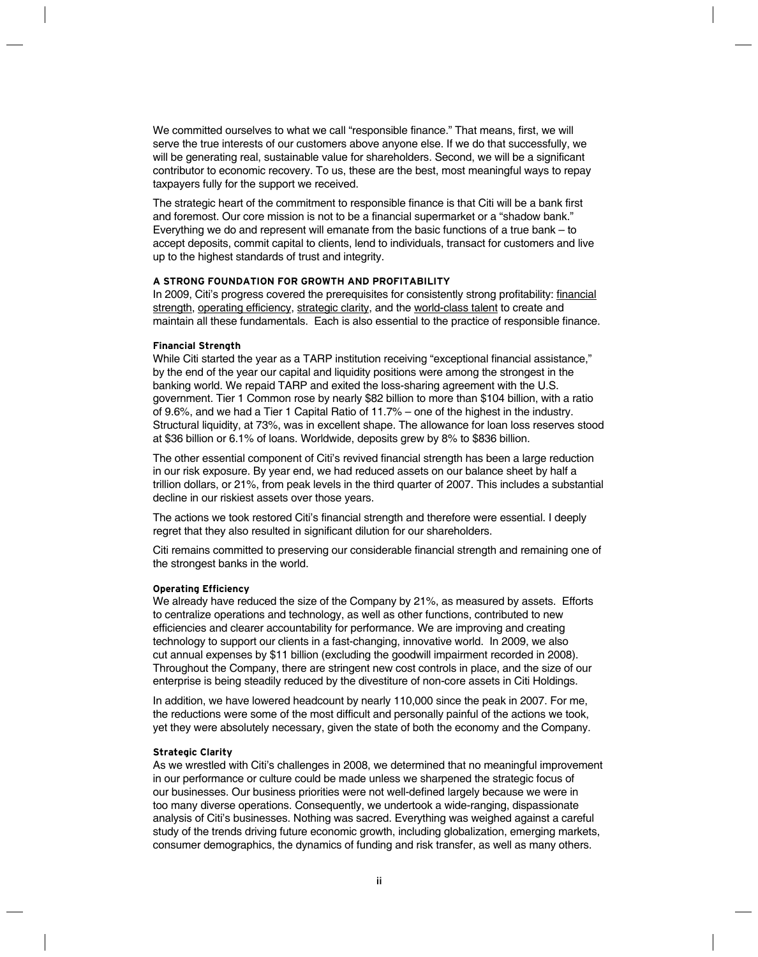We committed ourselves to what we call "responsible finance." That means, first, we will serve the true interests of our customers above anyone else. If we do that successfully, we will be generating real, sustainable value for shareholders. Second, we will be a significant contributor to economic recovery. To us, these are the best, most meaningful ways to repay taxpayers fully for the support we received.

The strategic heart of the commitment to responsible finance is that Citi will be a bank first and foremost. Our core mission is not to be a financial supermarket or a "shadow bank." Everything we do and represent will emanate from the basic functions of a true bank – to accept deposits, commit capital to clients, lend to individuals, transact for customers and live up to the highest standards of trust and integrity.

# **A Strong Foundation for Growth and Profitability**

In 2009, Citi's progress covered the prerequisites for consistently strong profitability: financial strength, operating efficiency, strategic clarity, and the world-class talent to create and maintain all these fundamentals. Each is also essential to the practice of responsible finance.

# **Financial Strength**

While Citi started the year as a TARP institution receiving "exceptional financial assistance," by the end of the year our capital and liquidity positions were among the strongest in the banking world. We repaid TARP and exited the loss-sharing agreement with the U.S. government. Tier 1 Common rose by nearly \$82 billion to more than \$104 billion, with a ratio of 9.6%, and we had a Tier 1 Capital Ratio of 11.7% – one of the highest in the industry. Structural liquidity, at 73%, was in excellent shape. The allowance for loan loss reserves stood at \$36 billion or 6.1% of loans. Worldwide, deposits grew by 8% to \$836 billion.

The other essential component of Citi's revived financial strength has been a large reduction in our risk exposure. By year end, we had reduced assets on our balance sheet by half a trillion dollars, or 21%, from peak levels in the third quarter of 2007. This includes a substantial decline in our riskiest assets over those years.

The actions we took restored Citi's financial strength and therefore were essential. I deeply regret that they also resulted in significant dilution for our shareholders.

Citi remains committed to preserving our considerable financial strength and remaining one of the strongest banks in the world.

#### **Operating Efficiency**

We already have reduced the size of the Company by 21%, as measured by assets. Efforts to centralize operations and technology, as well as other functions, contributed to new efficiencies and clearer accountability for performance. We are improving and creating technology to support our clients in a fast-changing, innovative world. In 2009, we also cut annual expenses by \$11 billion (excluding the goodwill impairment recorded in 2008). Throughout the Company, there are stringent new cost controls in place, and the size of our enterprise is being steadily reduced by the divestiture of non-core assets in Citi Holdings.

In addition, we have lowered headcount by nearly 110,000 since the peak in 2007. For me, the reductions were some of the most difficult and personally painful of the actions we took, yet they were absolutely necessary, given the state of both the economy and the Company.

#### **Strategic Clarity**

As we wrestled with Citi's challenges in 2008, we determined that no meaningful improvement in our performance or culture could be made unless we sharpened the strategic focus of our businesses. Our business priorities were not well-defined largely because we were in too many diverse operations. Consequently, we undertook a wide-ranging, dispassionate analysis of Citi's businesses. Nothing was sacred. Everything was weighed against a careful study of the trends driving future economic growth, including globalization, emerging markets, consumer demographics, the dynamics of funding and risk transfer, as well as many others.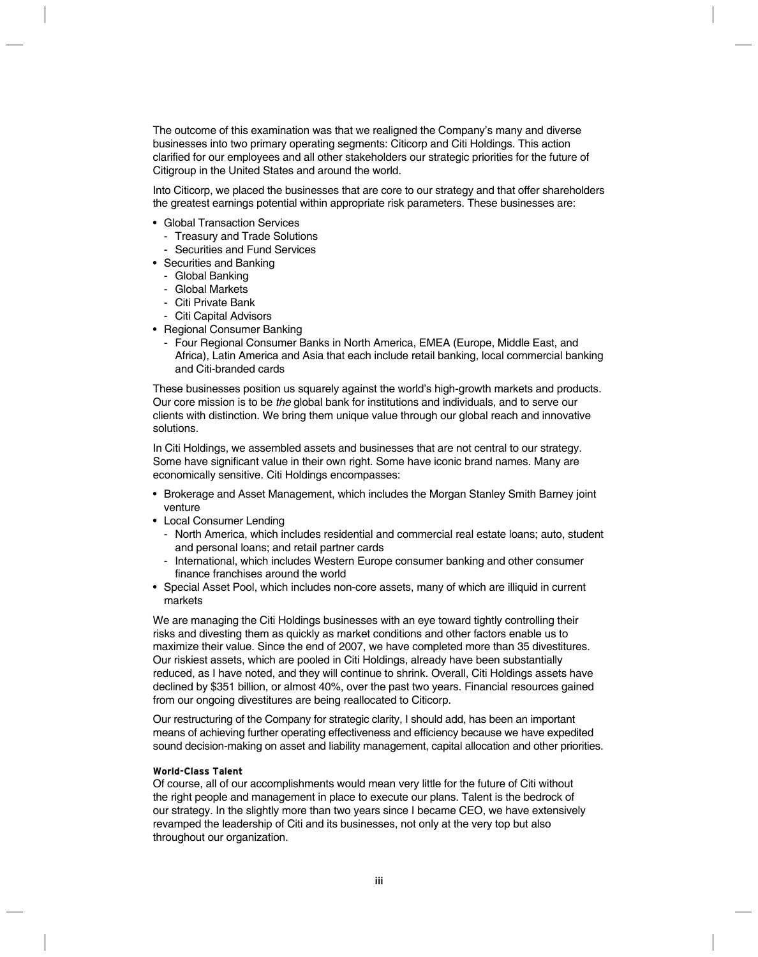The outcome of this examination was that we realigned the Company's many and diverse businesses into two primary operating segments: Citicorp and Citi Holdings. This action clarified for our employees and all other stakeholders our strategic priorities for the future of Citigroup in the United States and around the world.

Into Citicorp, we placed the businesses that are core to our strategy and that offer shareholders the greatest earnings potential within appropriate risk parameters. These businesses are:

- Global Transaction Services
	- Treasury and Trade Solutions
	- Securities and Fund Services
- Securities and Banking
	- Global Banking
	- Global Markets
	- Citi Private Bank
	- Citi Capital Advisors
- Regional Consumer Banking
	- Four Regional Consumer Banks in North America, EMEA (Europe, Middle East, and Africa), Latin America and Asia that each include retail banking, local commercial banking and Citi-branded cards

These businesses position us squarely against the world's high-growth markets and products. Our core mission is to be *the* global bank for institutions and individuals, and to serve our clients with distinction. We bring them unique value through our global reach and innovative solutions.

In Citi Holdings, we assembled assets and businesses that are not central to our strategy. Some have significant value in their own right. Some have iconic brand names. Many are economically sensitive. Citi Holdings encompasses:

- • Brokerage and Asset Management, which includes the Morgan Stanley Smith Barney joint venture
- Local Consumer Lending
	- North America, which includes residential and commercial real estate loans; auto, student and personal loans; and retail partner cards
	- International, which includes Western Europe consumer banking and other consumer finance franchises around the world
- Special Asset Pool, which includes non-core assets, many of which are illiquid in current markets

We are managing the Citi Holdings businesses with an eye toward tightly controlling their risks and divesting them as quickly as market conditions and other factors enable us to maximize their value. Since the end of 2007, we have completed more than 35 divestitures. Our riskiest assets, which are pooled in Citi Holdings, already have been substantially reduced, as I have noted, and they will continue to shrink. Overall, Citi Holdings assets have declined by \$351 billion, or almost 40%, over the past two years. Financial resources gained from our ongoing divestitures are being reallocated to Citicorp.

Our restructuring of the Company for strategic clarity, I should add, has been an important means of achieving further operating effectiveness and efficiency because we have expedited sound decision-making on asset and liability management, capital allocation and other priorities.

# **World-Class Talent**

Of course, all of our accomplishments would mean very little for the future of Citi without the right people and management in place to execute our plans. Talent is the bedrock of our strategy. In the slightly more than two years since I became CEO, we have extensively revamped the leadership of Citi and its businesses, not only at the very top but also throughout our organization.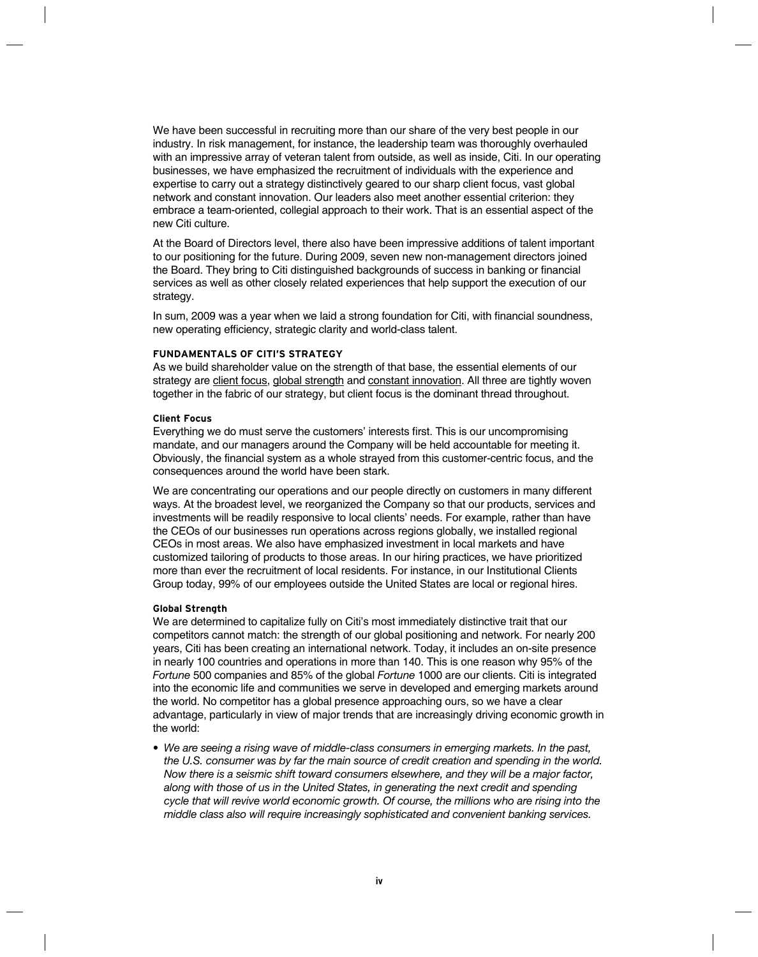We have been successful in recruiting more than our share of the very best people in our industry. In risk management, for instance, the leadership team was thoroughly overhauled with an impressive array of veteran talent from outside, as well as inside, Citi. In our operating businesses, we have emphasized the recruitment of individuals with the experience and expertise to carry out a strategy distinctively geared to our sharp client focus, vast global network and constant innovation. Our leaders also meet another essential criterion: they embrace a team-oriented, collegial approach to their work. That is an essential aspect of the new Citi culture.

At the Board of Directors level, there also have been impressive additions of talent important to our positioning for the future. During 2009, seven new non-management directors joined the Board. They bring to Citi distinguished backgrounds of success in banking or financial services as well as other closely related experiences that help support the execution of our strategy.

In sum, 2009 was a year when we laid a strong foundation for Citi, with financial soundness, new operating efficiency, strategic clarity and world-class talent.

# **Fundamentals of Citi's Strategy**

As we build shareholder value on the strength of that base, the essential elements of our strategy are client focus, global strength and constant innovation. All three are tightly woven together in the fabric of our strategy, but client focus is the dominant thread throughout.

#### **Client Focus**

Everything we do must serve the customers' interests first. This is our uncompromising mandate, and our managers around the Company will be held accountable for meeting it. Obviously, the financial system as a whole strayed from this customer-centric focus, and the consequences around the world have been stark.

We are concentrating our operations and our people directly on customers in many different ways. At the broadest level, we reorganized the Company so that our products, services and investments will be readily responsive to local clients' needs. For example, rather than have the CEOs of our businesses run operations across regions globally, we installed regional CEOs in most areas. We also have emphasized investment in local markets and have customized tailoring of products to those areas. In our hiring practices, we have prioritized more than ever the recruitment of local residents. For instance, in our Institutional Clients Group today, 99% of our employees outside the United States are local or regional hires.

#### **Global Strength**

We are determined to capitalize fully on Citi's most immediately distinctive trait that our competitors cannot match: the strength of our global positioning and network. For nearly 200 years, Citi has been creating an international network. Today, it includes an on-site presence in nearly 100 countries and operations in more than 140. This is one reason why 95% of the *Fortune* 500 companies and 85% of the global *Fortune* 1000 are our clients. Citi is integrated into the economic life and communities we serve in developed and emerging markets around the world. No competitor has a global presence approaching ours, so we have a clear advantage, particularly in view of major trends that are increasingly driving economic growth in the world:

*• We are seeing a rising wave of middle-class consumers in emerging markets. In the past, the U.S. consumer was by far the main source of credit creation and spending in the world. Now there is a seismic shift toward consumers elsewhere, and they will be a major factor, along with those of us in the United States, in generating the next credit and spending cycle that will revive world economic growth. Of course, the millions who are rising into the middle class also will require increasingly sophisticated and convenient banking services.*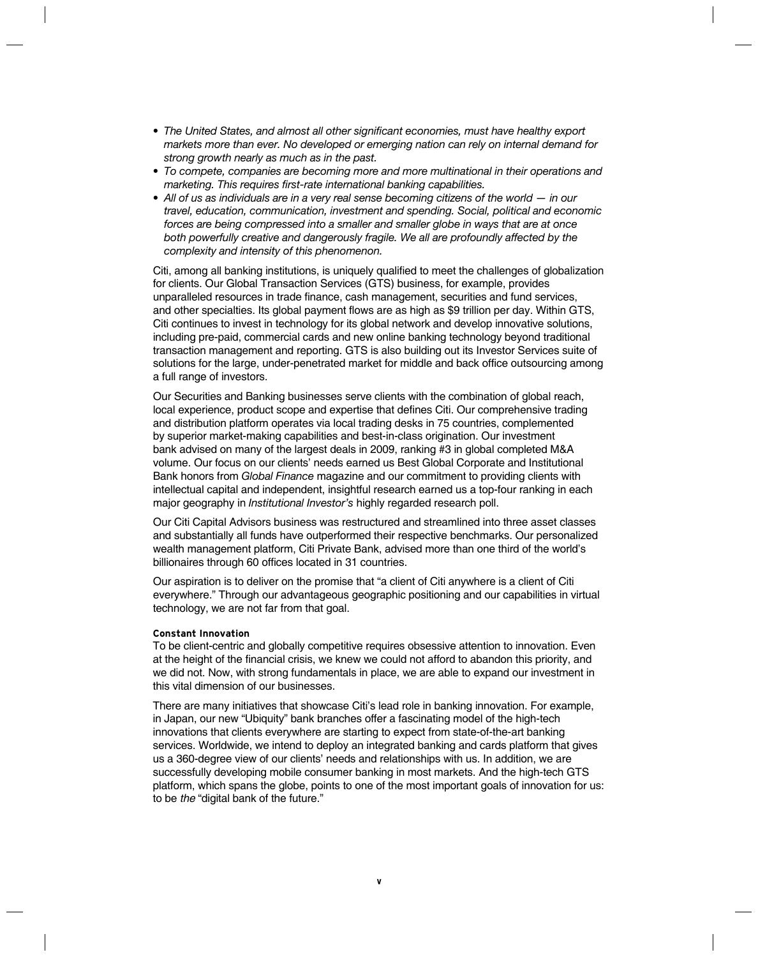- *• The United States, and almost all other significant economies, must have healthy export markets more than ever. No developed or emerging nation can rely on internal demand for strong growth nearly as much as in the past.*
- *• To compete, companies are becoming more and more multinational in their operations and marketing. This requires first-rate international banking capabilities.*
- All of us as individuals are in a very real sense becoming citizens of the world  $-$  in our *travel, education, communication, investment and spending. Social, political and economic forces are being compressed into a smaller and smaller globe in ways that are at once both powerfully creative and dangerously fragile. We all are profoundly affected by the complexity and intensity of this phenomenon.*

Citi, among all banking institutions, is uniquely qualified to meet the challenges of globalization for clients. Our Global Transaction Services (GTS) business, for example, provides unparalleled resources in trade finance, cash management, securities and fund services, and other specialties. Its global payment flows are as high as \$9 trillion per day. Within GTS, Citi continues to invest in technology for its global network and develop innovative solutions, including pre-paid, commercial cards and new online banking technology beyond traditional transaction management and reporting. GTS is also building out its Investor Services suite of solutions for the large, under-penetrated market for middle and back office outsourcing among a full range of investors.

Our Securities and Banking businesses serve clients with the combination of global reach, local experience, product scope and expertise that defines Citi. Our comprehensive trading and distribution platform operates via local trading desks in 75 countries, complemented by superior market-making capabilities and best-in-class origination. Our investment bank advised on many of the largest deals in 2009, ranking #3 in global completed M&A volume. Our focus on our clients' needs earned us Best Global Corporate and Institutional Bank honors from *Global Finance* magazine and our commitment to providing clients with intellectual capital and independent, insightful research earned us a top-four ranking in each major geography in *Institutional Investor's* highly regarded research poll.

Our Citi Capital Advisors business was restructured and streamlined into three asset classes and substantially all funds have outperformed their respective benchmarks. Our personalized wealth management platform, Citi Private Bank, advised more than one third of the world's billionaires through 60 offices located in 31 countries.

Our aspiration is to deliver on the promise that "a client of Citi anywhere is a client of Citi everywhere." Through our advantageous geographic positioning and our capabilities in virtual technology, we are not far from that goal.

# **Constant Innovation**

To be client-centric and globally competitive requires obsessive attention to innovation. Even at the height of the financial crisis, we knew we could not afford to abandon this priority, and we did not. Now, with strong fundamentals in place, we are able to expand our investment in this vital dimension of our businesses.

There are many initiatives that showcase Citi's lead role in banking innovation. For example, in Japan, our new "Ubiquity" bank branches offer a fascinating model of the high-tech innovations that clients everywhere are starting to expect from state-of-the-art banking services. Worldwide, we intend to deploy an integrated banking and cards platform that gives us a 360-degree view of our clients' needs and relationships with us. In addition, we are successfully developing mobile consumer banking in most markets. And the high-tech GTS platform, which spans the globe, points to one of the most important goals of innovation for us: to be *the* "digital bank of the future."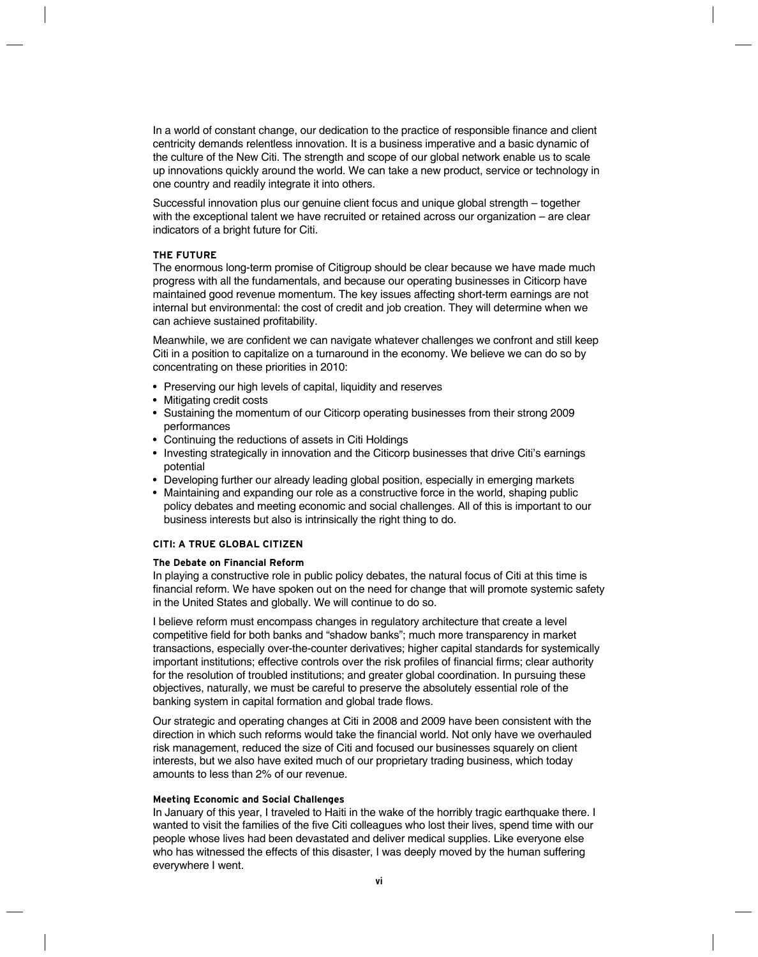In a world of constant change, our dedication to the practice of responsible finance and client centricity demands relentless innovation. It is a business imperative and a basic dynamic of the culture of the New Citi. The strength and scope of our global network enable us to scale up innovations quickly around the world. We can take a new product, service or technology in one country and readily integrate it into others.

Successful innovation plus our genuine client focus and unique global strength – together with the exceptional talent we have recruited or retained across our organization – are clear indicators of a bright future for Citi.

# **The Future**

The enormous long-term promise of Citigroup should be clear because we have made much progress with all the fundamentals, and because our operating businesses in Citicorp have maintained good revenue momentum. The key issues affecting short-term earnings are not internal but environmental: the cost of credit and job creation. They will determine when we can achieve sustained profitability.

Meanwhile, we are confident we can navigate whatever challenges we confront and still keep Citi in a position to capitalize on a turnaround in the economy. We believe we can do so by concentrating on these priorities in 2010:

- Preserving our high levels of capital, liquidity and reserves
- Mitigating credit costs
- Sustaining the momentum of our Citicorp operating businesses from their strong 2009 performances
- Continuing the reductions of assets in Citi Holdings
- Investing strategically in innovation and the Citicorp businesses that drive Citi's earnings potential
- Developing further our already leading global position, especially in emerging markets
- Maintaining and expanding our role as a constructive force in the world, shaping public policy debates and meeting economic and social challenges. All of this is important to our business interests but also is intrinsically the right thing to do.

# **Citi: A True Global Citizen**

### **The Debate on Financial Reform**

In playing a constructive role in public policy debates, the natural focus of Citi at this time is financial reform. We have spoken out on the need for change that will promote systemic safety in the United States and globally. We will continue to do so.

I believe reform must encompass changes in regulatory architecture that create a level competitive field for both banks and "shadow banks"; much more transparency in market transactions, especially over-the-counter derivatives; higher capital standards for systemically important institutions; effective controls over the risk profiles of financial firms; clear authority for the resolution of troubled institutions; and greater global coordination. In pursuing these objectives, naturally, we must be careful to preserve the absolutely essential role of the banking system in capital formation and global trade flows.

Our strategic and operating changes at Citi in 2008 and 2009 have been consistent with the direction in which such reforms would take the financial world. Not only have we overhauled risk management, reduced the size of Citi and focused our businesses squarely on client interests, but we also have exited much of our proprietary trading business, which today amounts to less than 2% of our revenue.

#### **Meeting Economic and Social Challenges**

In January of this year, I traveled to Haiti in the wake of the horribly tragic earthquake there. I wanted to visit the families of the five Citi colleagues who lost their lives, spend time with our people whose lives had been devastated and deliver medical supplies. Like everyone else who has witnessed the effects of this disaster, I was deeply moved by the human suffering everywhere I went.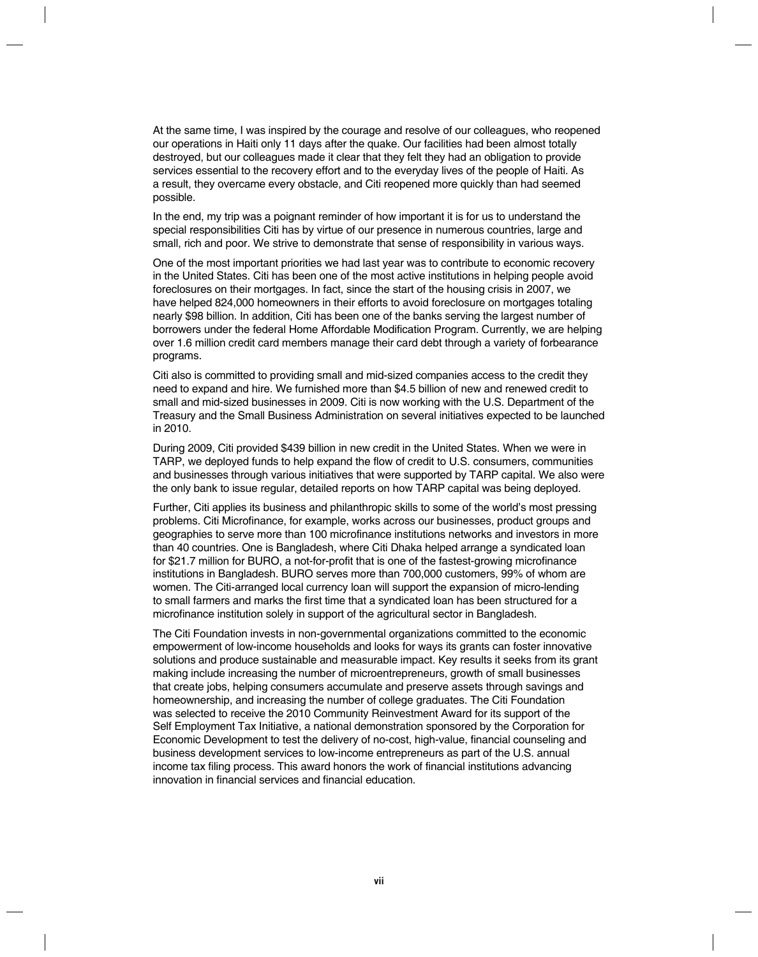At the same time, I was inspired by the courage and resolve of our colleagues, who reopened our operations in Haiti only 11 days after the quake. Our facilities had been almost totally destroyed, but our colleagues made it clear that they felt they had an obligation to provide services essential to the recovery effort and to the everyday lives of the people of Haiti. As a result, they overcame every obstacle, and Citi reopened more quickly than had seemed possible.

In the end, my trip was a poignant reminder of how important it is for us to understand the special responsibilities Citi has by virtue of our presence in numerous countries, large and small, rich and poor. We strive to demonstrate that sense of responsibility in various ways.

One of the most important priorities we had last year was to contribute to economic recovery in the United States. Citi has been one of the most active institutions in helping people avoid foreclosures on their mortgages. In fact, since the start of the housing crisis in 2007, we have helped 824,000 homeowners in their efforts to avoid foreclosure on mortgages totaling nearly \$98 billion. In addition, Citi has been one of the banks serving the largest number of borrowers under the federal Home Affordable Modification Program. Currently, we are helping over 1.6 million credit card members manage their card debt through a variety of forbearance programs.

Citi also is committed to providing small and mid-sized companies access to the credit they need to expand and hire. We furnished more than \$4.5 billion of new and renewed credit to small and mid-sized businesses in 2009. Citi is now working with the U.S. Department of the Treasury and the Small Business Administration on several initiatives expected to be launched in 2010.

During 2009, Citi provided \$439 billion in new credit in the United States. When we were in TARP, we deployed funds to help expand the flow of credit to U.S. consumers, communities and businesses through various initiatives that were supported by TARP capital. We also were the only bank to issue regular, detailed reports on how TARP capital was being deployed.

Further, Citi applies its business and philanthropic skills to some of the world's most pressing problems. Citi Microfinance, for example, works across our businesses, product groups and geographies to serve more than 100 microfinance institutions networks and investors in more than 40 countries. One is Bangladesh, where Citi Dhaka helped arrange a syndicated loan for \$21.7 million for BURO, a not-for-profit that is one of the fastest-growing microfinance institutions in Bangladesh. BURO serves more than 700,000 customers, 99% of whom are women. The Citi-arranged local currency loan will support the expansion of micro-lending to small farmers and marks the first time that a syndicated loan has been structured for a microfinance institution solely in support of the agricultural sector in Bangladesh.

The Citi Foundation invests in non-governmental organizations committed to the economic empowerment of low-income households and looks for ways its grants can foster innovative solutions and produce sustainable and measurable impact. Key results it seeks from its grant making include increasing the number of microentrepreneurs, growth of small businesses that create jobs, helping consumers accumulate and preserve assets through savings and homeownership, and increasing the number of college graduates. The Citi Foundation was selected to receive the 2010 Community Reinvestment Award for its support of the Self Employment Tax Initiative, a national demonstration sponsored by the Corporation for Economic Development to test the delivery of no-cost, high-value, financial counseling and business development services to low-income entrepreneurs as part of the U.S. annual income tax filing process. This award honors the work of financial institutions advancing innovation in financial services and financial education.